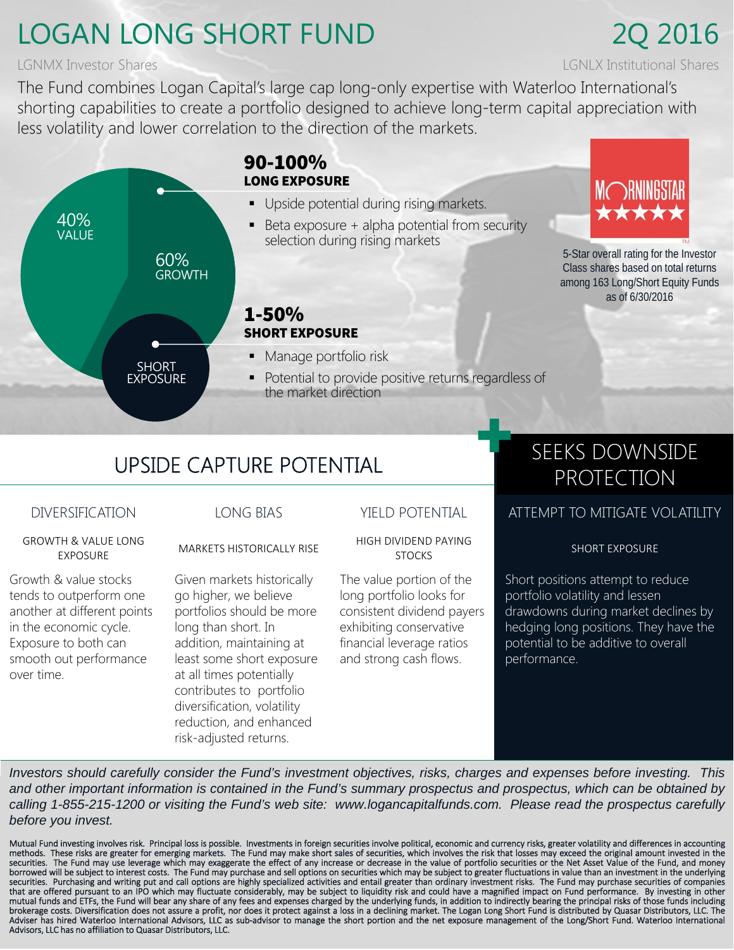## LOGAN LONG SHORT FUND 2Q 2016

The Fund combines Logan Capital's large cap long-only expertise with Waterloo International's shorting capabilities to create a portfolio designed to achieve long-term capital appreciation with less volatility and lower correlation to the direction of the markets.



# UPSIDE CAPTURE POTENTIAL SEEKS DOWNSIDE

GROWTH & VALUE LONG

Growth & value stocks tends to outperform one

another at different points in the economic cycle. Exposure to both can smooth out performance over time.

Given markets historically go higher, we believe portfolios should be more long than short. In addition, maintaining at least some short exposure at all times potentially contributes to portfolio diversification, volatility reduction, and enhanced risk-adjusted returns.

EXPOSURE MARKETS HISTORICALLY RISE HIGH DIVIDEND PAYING

The value portion of the long portfolio looks for consistent dividend payers exhibiting conservative financial leverage ratios and strong cash flows.

# PROTECTION

## DIVERSIFICATION LONG BIAS YIELD POTENTIAL ATTEMPT TO MITIGATE VOLATILITY

SHORT EXPOSURE

Short positions attempt to reduce portfolio volatility and lessen drawdowns during market declines by hedging long positions. They have the potential to be additive to overall performance.

*Investors should carefully consider the Fund's investment objectives, risks, charges and expenses before investing. This and other important information is contained in the Fund's summary prospectus and prospectus, which can be obtained by calling 1-855-215-1200 or visiting the Fund's web site: www.logancapitalfunds.com. Please read the prospectus carefully before you invest.*

Mutual Fund investing involves risk. Principal loss is possible. Investments in foreign securities involve political, economic and currency risks, greater volatility and differences in accounting<br>methods. These risks ar securities. The Fund may use leverage which may exaggerate the effect of any increase or decrease in the value of portfolio securities or the Net Asset Value of the Fund, and money<br>borrowed will be subject to interest cost that are offered pursuant to an IPO which may fluctuate considerably, may be subject to liquidity risk and could have a magnified impact on Fund performance. By investing in other<br>mutual funds and ETFs, the Fund will bear Adviser has hired Waterloo International Advisors, LLC as sub‐advisor to manage the short portion and the net exposure management of the Long/Short Fund. Waterloo International Advisors, LLC has no affiliation to Quasar Distributors, LLC.

LGNMX Investor Shares LGNLX Institutional Shares